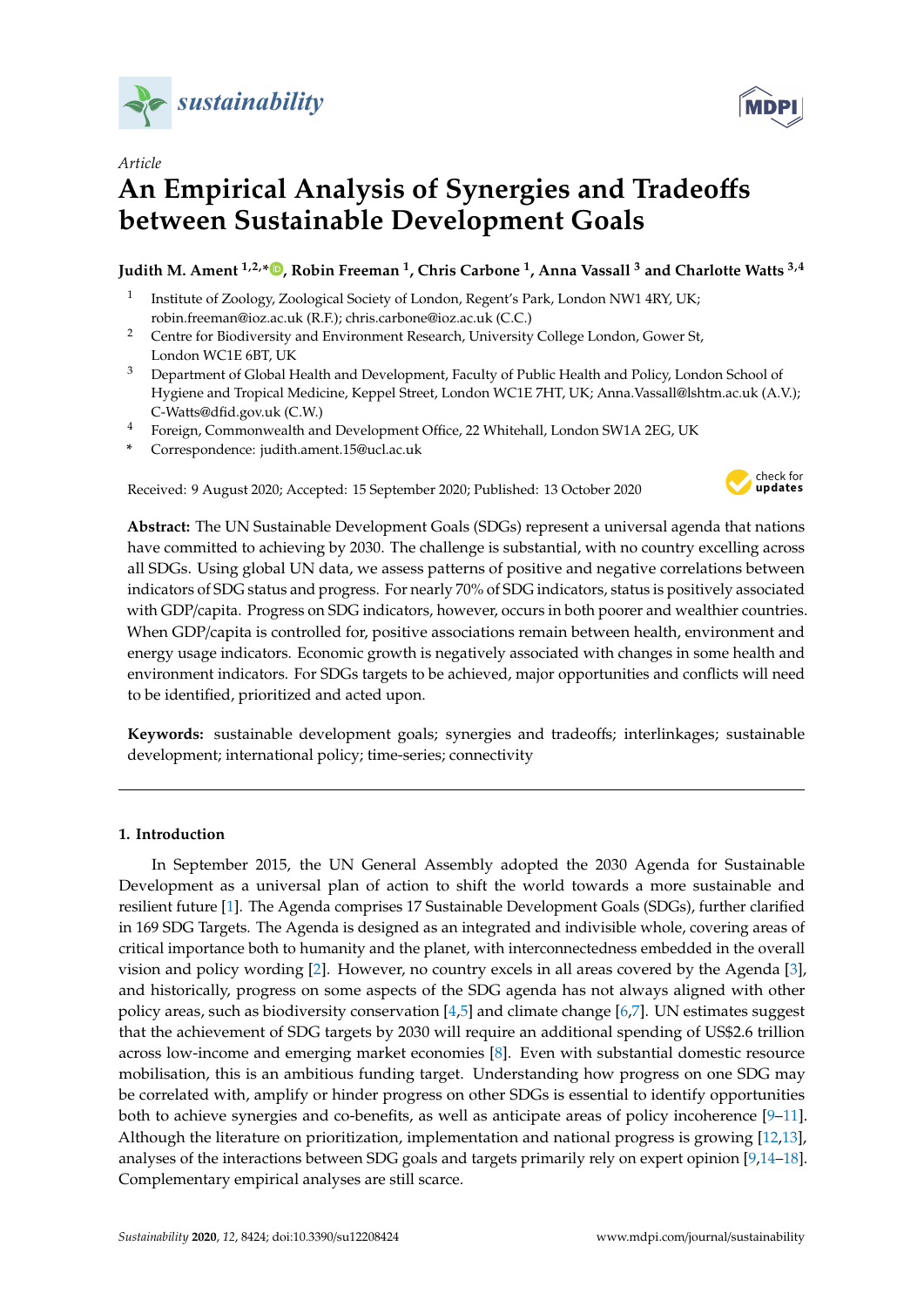

*Article*

# **An Empirical Analysis of Synergies and Tradeo**ff**s between Sustainable Development Goals**

## **Judith M. Ament 1,2,\* [,](https://orcid.org/0000-0002-3286-5311) Robin Freeman <sup>1</sup> , Chris Carbone <sup>1</sup> , Anna Vassall <sup>3</sup> and Charlotte Watts 3,4**

- 1 Institute of Zoology, Zoological Society of London, Regent's Park, London NW1 4RY, UK; robin.freeman@ioz.ac.uk (R.F.); chris.carbone@ioz.ac.uk (C.C.)
- <sup>2</sup> Centre for Biodiversity and Environment Research, University College London, Gower St, London WC1E 6BT, UK
- <sup>3</sup> Department of Global Health and Development, Faculty of Public Health and Policy, London School of Hygiene and Tropical Medicine, Keppel Street, London WC1E 7HT, UK; Anna.Vassall@lshtm.ac.uk (A.V.); C-Watts@dfid.gov.uk (C.W.)
- <sup>4</sup> Foreign, Commonwealth and Development Office, 22 Whitehall, London SW1A 2EG, UK
- **\*** Correspondence: judith.ament.15@ucl.ac.uk

Received: 9 August 2020; Accepted: 15 September 2020; Published: 13 October 2020



**Abstract:** The UN Sustainable Development Goals (SDGs) represent a universal agenda that nations have committed to achieving by 2030. The challenge is substantial, with no country excelling across all SDGs. Using global UN data, we assess patterns of positive and negative correlations between indicators of SDG status and progress. For nearly 70% of SDG indicators, status is positively associated with GDP/capita. Progress on SDG indicators, however, occurs in both poorer and wealthier countries. When GDP/capita is controlled for, positive associations remain between health, environment and energy usage indicators. Economic growth is negatively associated with changes in some health and environment indicators. For SDGs targets to be achieved, major opportunities and conflicts will need to be identified, prioritized and acted upon.

**Keywords:** sustainable development goals; synergies and tradeoffs; interlinkages; sustainable development; international policy; time-series; connectivity

## **1. Introduction**

In September 2015, the UN General Assembly adopted the 2030 Agenda for Sustainable Development as a universal plan of action to shift the world towards a more sustainable and resilient future [\[1\]](#page-9-0). The Agenda comprises 17 Sustainable Development Goals (SDGs), further clarified in 169 SDG Targets. The Agenda is designed as an integrated and indivisible whole, covering areas of critical importance both to humanity and the planet, with interconnectedness embedded in the overall vision and policy wording [\[2\]](#page-9-1). However, no country excels in all areas covered by the Agenda [\[3\]](#page-9-2), and historically, progress on some aspects of the SDG agenda has not always aligned with other policy areas, such as biodiversity conservation  $[4,5]$  $[4,5]$  and climate change  $[6,7]$  $[6,7]$ . UN estimates suggest that the achievement of SDG targets by 2030 will require an additional spending of US\$2.6 trillion across low-income and emerging market economies [\[8\]](#page-9-7). Even with substantial domestic resource mobilisation, this is an ambitious funding target. Understanding how progress on one SDG may be correlated with, amplify or hinder progress on other SDGs is essential to identify opportunities both to achieve synergies and co-benefits, as well as anticipate areas of policy incoherence [\[9–](#page-9-8)[11\]](#page-9-9). Although the literature on prioritization, implementation and national progress is growing [\[12,](#page-9-10)[13\]](#page-9-11), analyses of the interactions between SDG goals and targets primarily rely on expert opinion [\[9](#page-9-8)[,14–](#page-9-12)[18\]](#page-9-13). Complementary empirical analyses are still scarce.

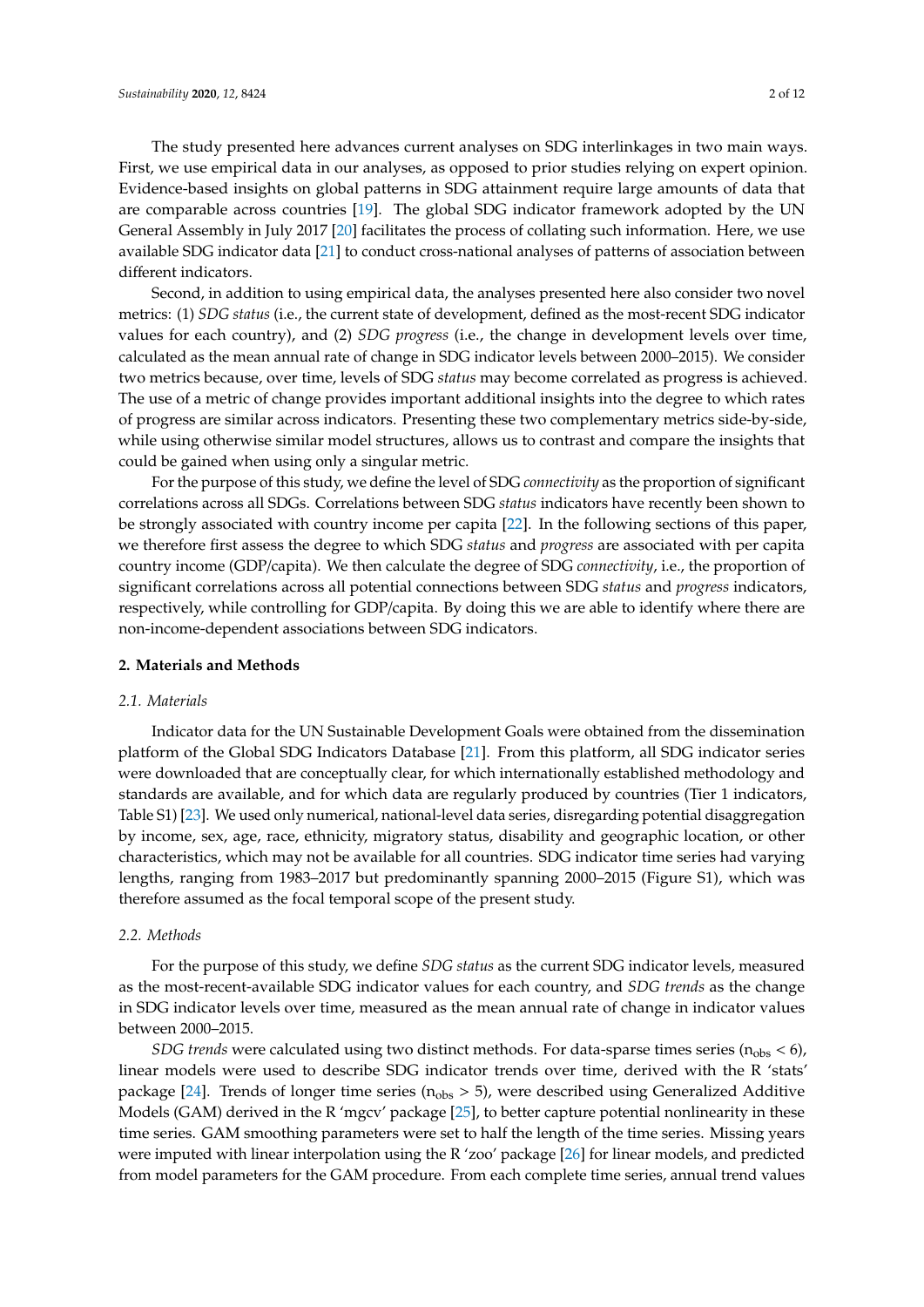The study presented here advances current analyses on SDG interlinkages in two main ways. First, we use empirical data in our analyses, as opposed to prior studies relying on expert opinion. Evidence-based insights on global patterns in SDG attainment require large amounts of data that are comparable across countries [\[19\]](#page-9-14). The global SDG indicator framework adopted by the UN General Assembly in July 2017 [\[20\]](#page-9-15) facilitates the process of collating such information. Here, we use available SDG indicator data [\[21\]](#page-9-16) to conduct cross-national analyses of patterns of association between different indicators.

Second, in addition to using empirical data, the analyses presented here also consider two novel metrics: (1) *SDG status* (i.e., the current state of development, defined as the most-recent SDG indicator values for each country), and (2) *SDG progress* (i.e., the change in development levels over time, calculated as the mean annual rate of change in SDG indicator levels between 2000–2015). We consider two metrics because, over time, levels of SDG *status* may become correlated as progress is achieved. The use of a metric of change provides important additional insights into the degree to which rates of progress are similar across indicators. Presenting these two complementary metrics side-by-side, while using otherwise similar model structures, allows us to contrast and compare the insights that could be gained when using only a singular metric.

For the purpose of this study, we define the level of SDG *connectivity* as the proportion of significant correlations across all SDGs. Correlations between SDG *status* indicators have recently been shown to be strongly associated with country income per capita [\[22\]](#page-9-17). In the following sections of this paper, we therefore first assess the degree to which SDG *status* and *progress* are associated with per capita country income (GDP/capita). We then calculate the degree of SDG *connectivity*, i.e., the proportion of significant correlations across all potential connections between SDG *status* and *progress* indicators, respectively, while controlling for GDP/capita. By doing this we are able to identify where there are non-income-dependent associations between SDG indicators.

### **2. Materials and Methods**

#### *2.1. Materials*

Indicator data for the UN Sustainable Development Goals were obtained from the dissemination platform of the Global SDG Indicators Database [\[21\]](#page-9-16). From this platform, all SDG indicator series were downloaded that are conceptually clear, for which internationally established methodology and standards are available, and for which data are regularly produced by countries (Tier 1 indicators, Table S1) [\[23\]](#page-9-18). We used only numerical, national-level data series, disregarding potential disaggregation by income, sex, age, race, ethnicity, migratory status, disability and geographic location, or other characteristics, which may not be available for all countries. SDG indicator time series had varying lengths, ranging from 1983–2017 but predominantly spanning 2000–2015 (Figure S1), which was therefore assumed as the focal temporal scope of the present study.

#### *2.2. Methods*

For the purpose of this study, we define *SDG status* as the current SDG indicator levels, measured as the most-recent-available SDG indicator values for each country, and *SDG trends* as the change in SDG indicator levels over time, measured as the mean annual rate of change in indicator values between 2000–2015.

*SDG trends* were calculated using two distinct methods. For data-sparse times series ( $n_{obs} < 6$ ), linear models were used to describe SDG indicator trends over time, derived with the R 'stats' package [\[24\]](#page-10-0). Trends of longer time series ( $n_{obs} > 5$ ), were described using Generalized Additive Models (GAM) derived in the R 'mgcv' package [\[25\]](#page-10-1), to better capture potential nonlinearity in these time series. GAM smoothing parameters were set to half the length of the time series. Missing years were imputed with linear interpolation using the R 'zoo' package [\[26\]](#page-10-2) for linear models, and predicted from model parameters for the GAM procedure. From each complete time series, annual trend values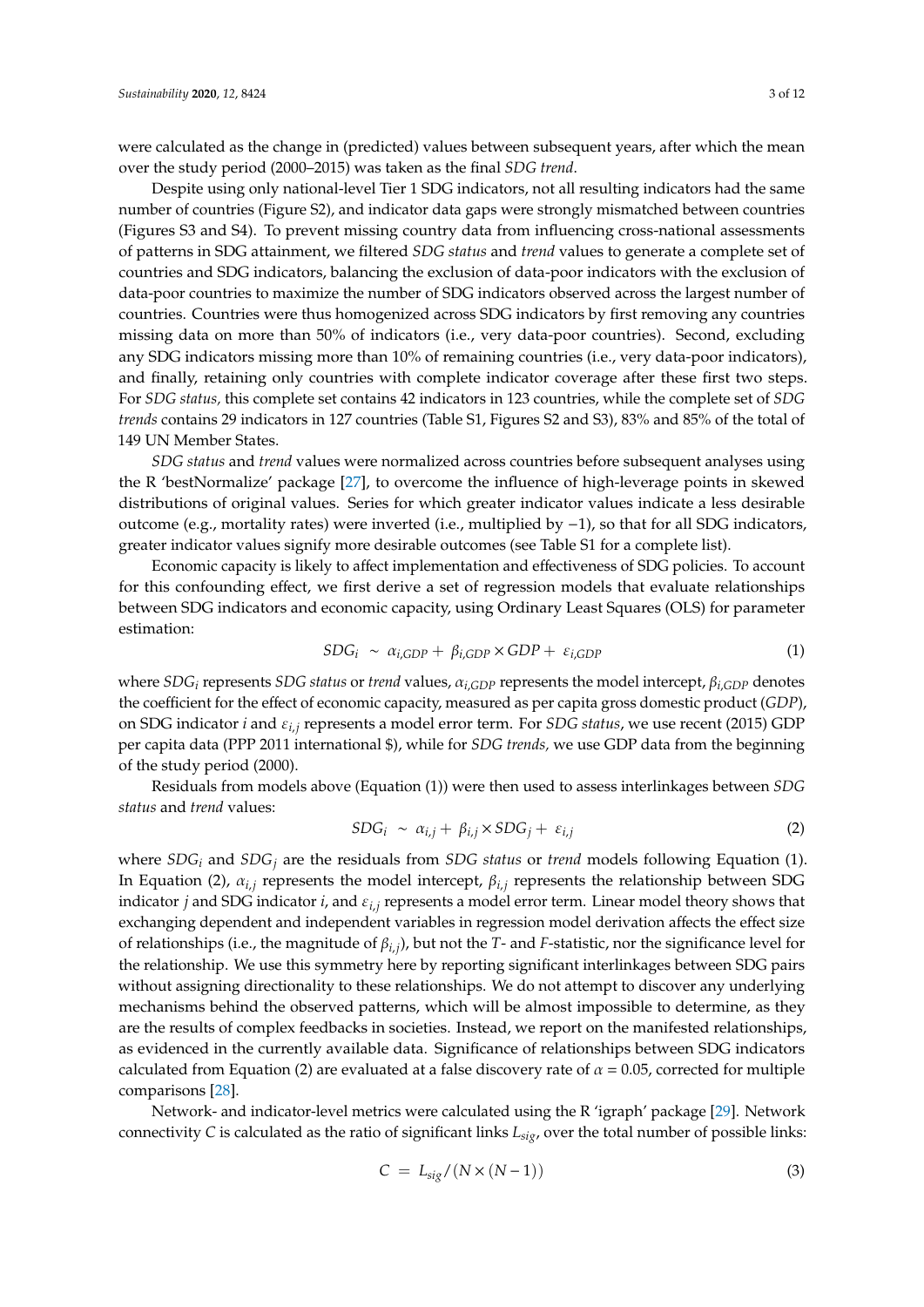were calculated as the change in (predicted) values between subsequent years, after which the mean over the study period (2000–2015) was taken as the final *SDG trend*.

Despite using only national-level Tier 1 SDG indicators, not all resulting indicators had the same number of countries (Figure S2), and indicator data gaps were strongly mismatched between countries (Figures S3 and S4). To prevent missing country data from influencing cross-national assessments of patterns in SDG attainment, we filtered *SDG status* and *trend* values to generate a complete set of countries and SDG indicators, balancing the exclusion of data-poor indicators with the exclusion of data-poor countries to maximize the number of SDG indicators observed across the largest number of countries. Countries were thus homogenized across SDG indicators by first removing any countries missing data on more than 50% of indicators (i.e., very data-poor countries). Second, excluding any SDG indicators missing more than 10% of remaining countries (i.e., very data-poor indicators), and finally, retaining only countries with complete indicator coverage after these first two steps. For *SDG status,* this complete set contains 42 indicators in 123 countries, while the complete set of *SDG trends* contains 29 indicators in 127 countries (Table S1, Figures S2 and S3), 83% and 85% of the total of 149 UN Member States.

*SDG status* and *trend* values were normalized across countries before subsequent analyses using the R 'bestNormalize' package [\[27\]](#page-10-3), to overcome the influence of high-leverage points in skewed distributions of original values. Series for which greater indicator values indicate a less desirable outcome (e.g., mortality rates) were inverted (i.e., multiplied by −1), so that for all SDG indicators, greater indicator values signify more desirable outcomes (see Table S1 for a complete list).

Economic capacity is likely to affect implementation and effectiveness of SDG policies. To account for this confounding effect, we first derive a set of regression models that evaluate relationships between SDG indicators and economic capacity, using Ordinary Least Squares (OLS) for parameter estimation:

$$
SDG_i \sim \alpha_{i,GDP} + \beta_{i,GDP} \times GDP + \varepsilon_{i,GDP}
$$
 (1)

where *SDG*<sub>*i*</sub> represents *SDG status* or *trend* values,  $\alpha_{i,GDP}$  represents the model intercept,  $\beta_{i,GDP}$  denotes the coefficient for the effect of economic capacity, measured as per capita gross domestic product (*GDP*), on SDG indicator *i* and ε*i*,*<sup>j</sup>* represents a model error term. For *SDG status*, we use recent (2015) GDP per capita data (PPP 2011 international \$), while for *SDG trends,* we use GDP data from the beginning of the study period (2000).

Residuals from models above (Equation (1)) were then used to assess interlinkages between *SDG status* and *trend* values:

$$
SDG_i \sim \alpha_{i,j} + \beta_{i,j} \times SDG_j + \varepsilon_{i,j}
$$
 (2)

where *SDG<sup>i</sup>* and *SDG<sup>j</sup>* are the residuals from *SDG status* or *trend* models following Equation (1). In Equation (2),  $\alpha_{i,j}$  represents the model intercept,  $\beta_{i,j}$  represents the relationship between SDG indicator *j* and SDG indicator *i*, and ε*i*,*<sup>j</sup>* represents a model error term. Linear model theory shows that exchanging dependent and independent variables in regression model derivation affects the effect size of relationships (i.e., the magnitude of β*i*,*<sup>j</sup>* ), but not the *T*- and *F*-statistic, nor the significance level for the relationship. We use this symmetry here by reporting significant interlinkages between SDG pairs without assigning directionality to these relationships. We do not attempt to discover any underlying mechanisms behind the observed patterns, which will be almost impossible to determine, as they are the results of complex feedbacks in societies. Instead, we report on the manifested relationships, as evidenced in the currently available data. Significance of relationships between SDG indicators calculated from Equation (2) are evaluated at a false discovery rate of  $\alpha$  = 0.05, corrected for multiple comparisons [\[28\]](#page-10-4).

Network- and indicator-level metrics were calculated using the R 'igraph' package [\[29\]](#page-10-5). Network connectivity *C* is calculated as the ratio of significant links *Lsig*, over the total number of possible links:

$$
C = L_{sig} / (N \times (N-1))
$$
\n(3)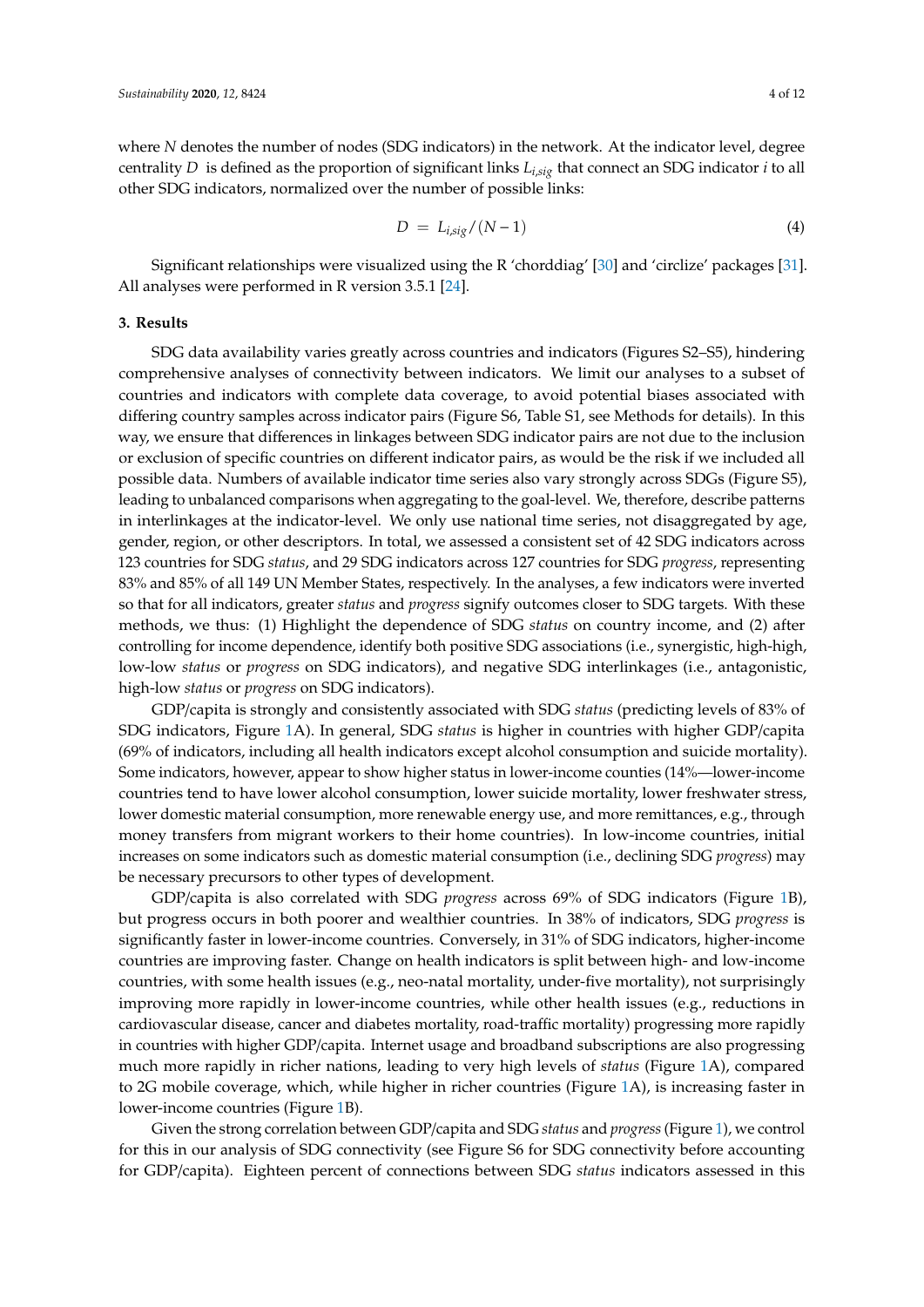where *N* denotes the number of nodes (SDG indicators) in the network. At the indicator level, degree centrality *D* is defined as the proportion of significant links *Li*,*sig* that connect an SDG indicator *i* to all other SDG indicators, normalized over the number of possible links:

$$
D = L_{i,sig}/(N-1) \tag{4}
$$

Significant relationships were visualized using the R 'chorddiag' [\[30\]](#page-10-6) and 'circlize' packages [\[31\]](#page-10-7). All analyses were performed in R version 3.5.1 [\[24\]](#page-10-0).

## **3. Results**

SDG data availability varies greatly across countries and indicators (Figures S2–S5), hindering comprehensive analyses of connectivity between indicators. We limit our analyses to a subset of countries and indicators with complete data coverage, to avoid potential biases associated with differing country samples across indicator pairs (Figure S6, Table S1, see Methods for details). In this way, we ensure that differences in linkages between SDG indicator pairs are not due to the inclusion or exclusion of specific countries on different indicator pairs, as would be the risk if we included all possible data. Numbers of available indicator time series also vary strongly across SDGs (Figure S5), leading to unbalanced comparisons when aggregating to the goal-level. We, therefore, describe patterns in interlinkages at the indicator-level. We only use national time series, not disaggregated by age, gender, region, or other descriptors. In total, we assessed a consistent set of 42 SDG indicators across 123 countries for SDG *status*, and 29 SDG indicators across 127 countries for SDG *progress*, representing 83% and 85% of all 149 UN Member States, respectively. In the analyses, a few indicators were inverted so that for all indicators, greater *status* and *progress* signify outcomes closer to SDG targets. With these methods, we thus: (1) Highlight the dependence of SDG *status* on country income, and (2) after controlling for income dependence, identify both positive SDG associations (i.e., synergistic, high-high, low-low *status* or *progress* on SDG indicators), and negative SDG interlinkages (i.e., antagonistic, high-low *status* or *progress* on SDG indicators).

GDP/capita is strongly and consistently associated with SDG *status* (predicting levels of 83% of SDG indicators, Figure [1A](#page-4-0)). In general, SDG *status* is higher in countries with higher GDP/capita (69% of indicators, including all health indicators except alcohol consumption and suicide mortality). Some indicators, however, appear to show higher status in lower-income counties (14%—lower-income countries tend to have lower alcohol consumption, lower suicide mortality, lower freshwater stress, lower domestic material consumption, more renewable energy use, and more remittances, e.g., through money transfers from migrant workers to their home countries). In low-income countries, initial increases on some indicators such as domestic material consumption (i.e., declining SDG *progress*) may be necessary precursors to other types of development.

GDP/capita is also correlated with SDG *progress* across 69% of SDG indicators (Figure [1B](#page-4-0)), but progress occurs in both poorer and wealthier countries. In 38% of indicators, SDG *progress* is significantly faster in lower-income countries. Conversely, in 31% of SDG indicators, higher-income countries are improving faster. Change on health indicators is split between high- and low-income countries, with some health issues (e.g., neo-natal mortality, under-five mortality), not surprisingly improving more rapidly in lower-income countries, while other health issues (e.g., reductions in cardiovascular disease, cancer and diabetes mortality, road-traffic mortality) progressing more rapidly in countries with higher GDP/capita. Internet usage and broadband subscriptions are also progressing much more rapidly in richer nations, leading to very high levels of *status* (Figure [1A](#page-4-0)), compared to 2G mobile coverage, which, while higher in richer countries (Figure [1A](#page-4-0)), is increasing faster in lower-income countries (Figure [1B](#page-4-0)).

Given the strong correlation between GDP/capita and SDG *status* and *progress*(Figure [1\)](#page-4-0), we control for this in our analysis of SDG connectivity (see Figure S6 for SDG connectivity before accounting for GDP/capita). Eighteen percent of connections between SDG *status* indicators assessed in this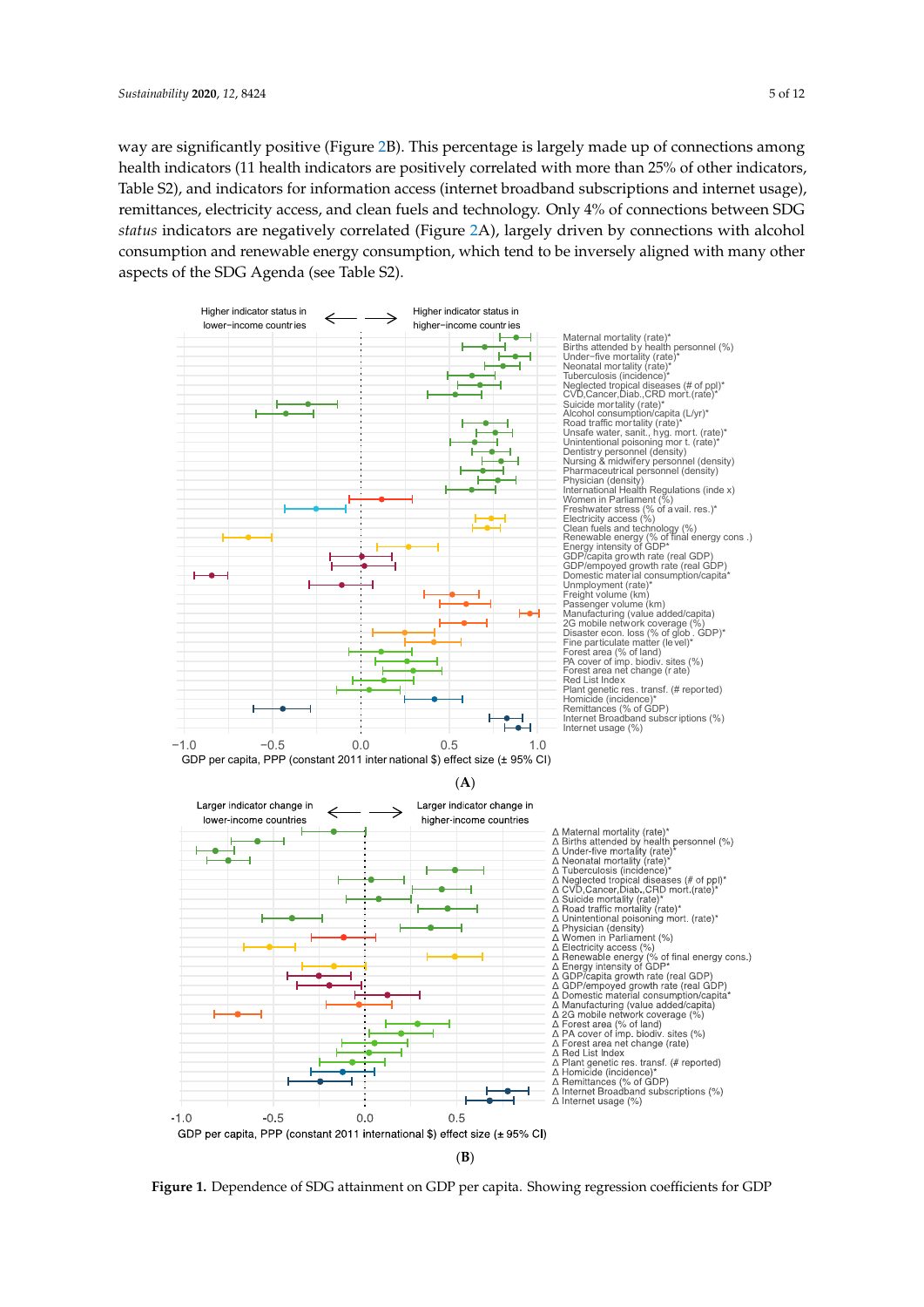way are significantly positive (Figure [2B](#page-5-0)). This percentage is largely made up of connections among health indicators (11 health indicators are positively correlated with more than 25% of other indicators, Table S2), and indicators for information access (internet broadband subscriptions and internet usage), remittances, electricity access, and clean fuels and technology. Only 4% of connections between SDG *status* indicators are negatively correlated (Figure [2A](#page-5-0)), largely driven by connections with alcohol consumption and renewable energy consumption, which tend to be inversely aligned with many other aspects of the SDG Agenda (see Table S2).

<span id="page-4-0"></span>

**Figure 1.** Dependence of SDG attainment on GDP per capita. Showing regression coefficients for GDP **Figure 1.** Dependence of SDG attainment on GDP per capita. Showing regression coefficients for GDP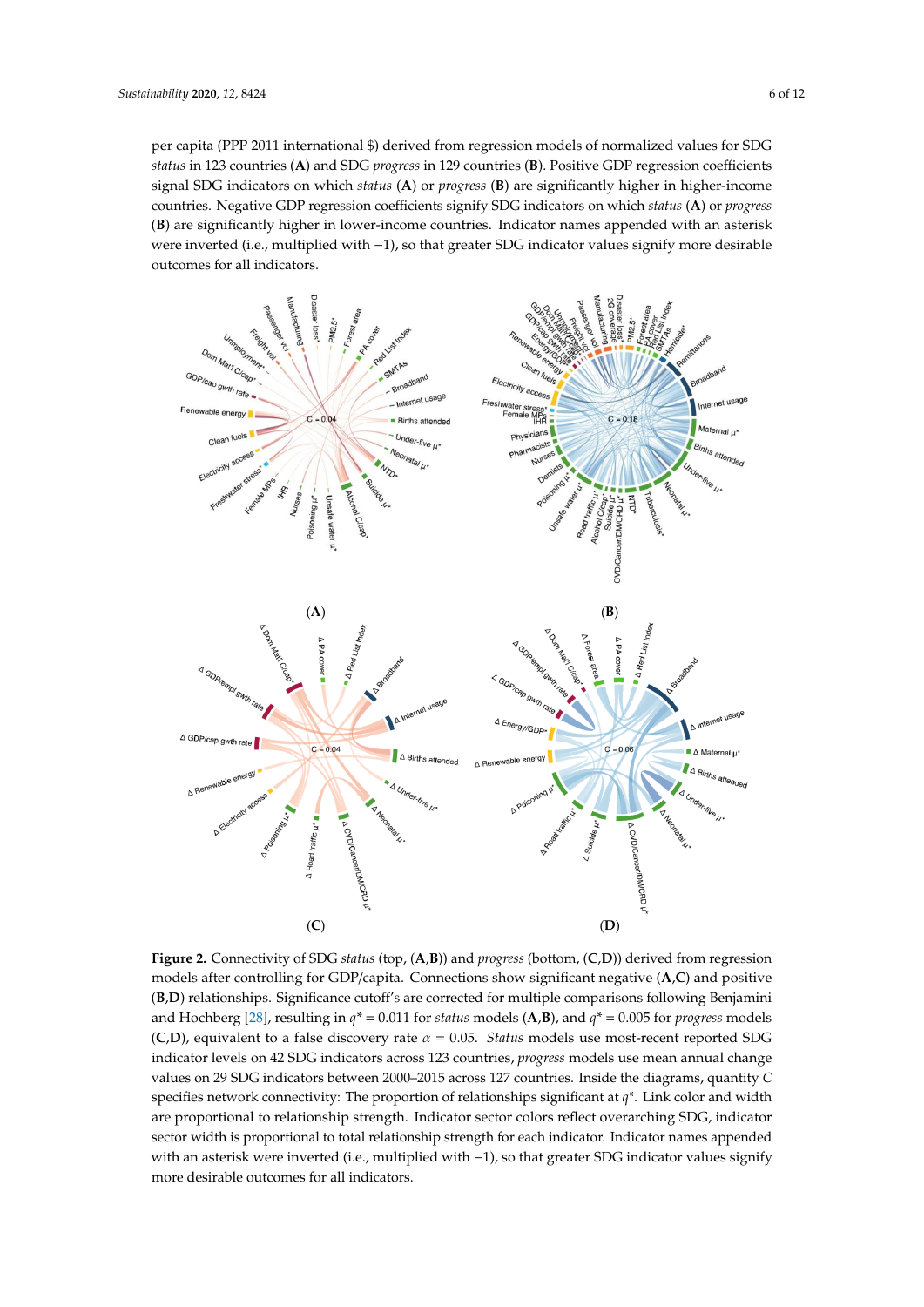per capita (PPP 2011 international \$) derived from regression models of normalized values for SDG *status* in 123 countries (**A**) and SDG *progress* in 129 countries (**B**). Positive GDP regression coefficients signal SDG indicators on which *status* (**A**) or *progress* (**B**) are significantly higher in higher-income countries. Negative GDP regression coefficients signify SDG indicators on which *status* (**A**) or *progress* (**B**) are significantly higher in lower-income countries. Indicator names appended with an asterisk were inverted (i.e., multiplied with −1), so that greater SDG indicator values signify more desirable outcomes for all indicators.

<span id="page-5-0"></span>

**Figure 2.** Connectivity of SDG *status* (top, (**A**,**B**)) and *progress* (bottom, (**C**,**D**)) derived from regression models after controlling for GDP/capita. Connections show significant negative (**A**,**C**) and positive (**B**,**D**) relationships. Significance cutoff's are corrected for multiple comparisons following Benjamini and Hochberg [\[28\]](#page-10-4), resulting in *q\** = 0.011 for *status* models (**A**,**B**), and *q\** = 0.005 for *progress* models (**C**,D), equivalent to a false discovery rate  $\alpha = 0.05$ . *Status* models use most-recent reported SDG indicator levels on 42 SDG indicators across 123 countries, *progress* models use mean annual change values on 29 SDG indicators between 2000–2015 across 127 countries. Inside the diagrams, quantity *C* specifies network connectivity: The proportion of relationships significant at *q\**. Link color and width are proportional to relationship strength. Indicator sector colors reflect overarching SDG, indicator sector width is proportional to total relationship strength for each indicator. Indicator names appended with an asterisk were inverted (i.e., multiplied with -1), so that greater SDG indicator values signify more desirable outcomes for all indicators.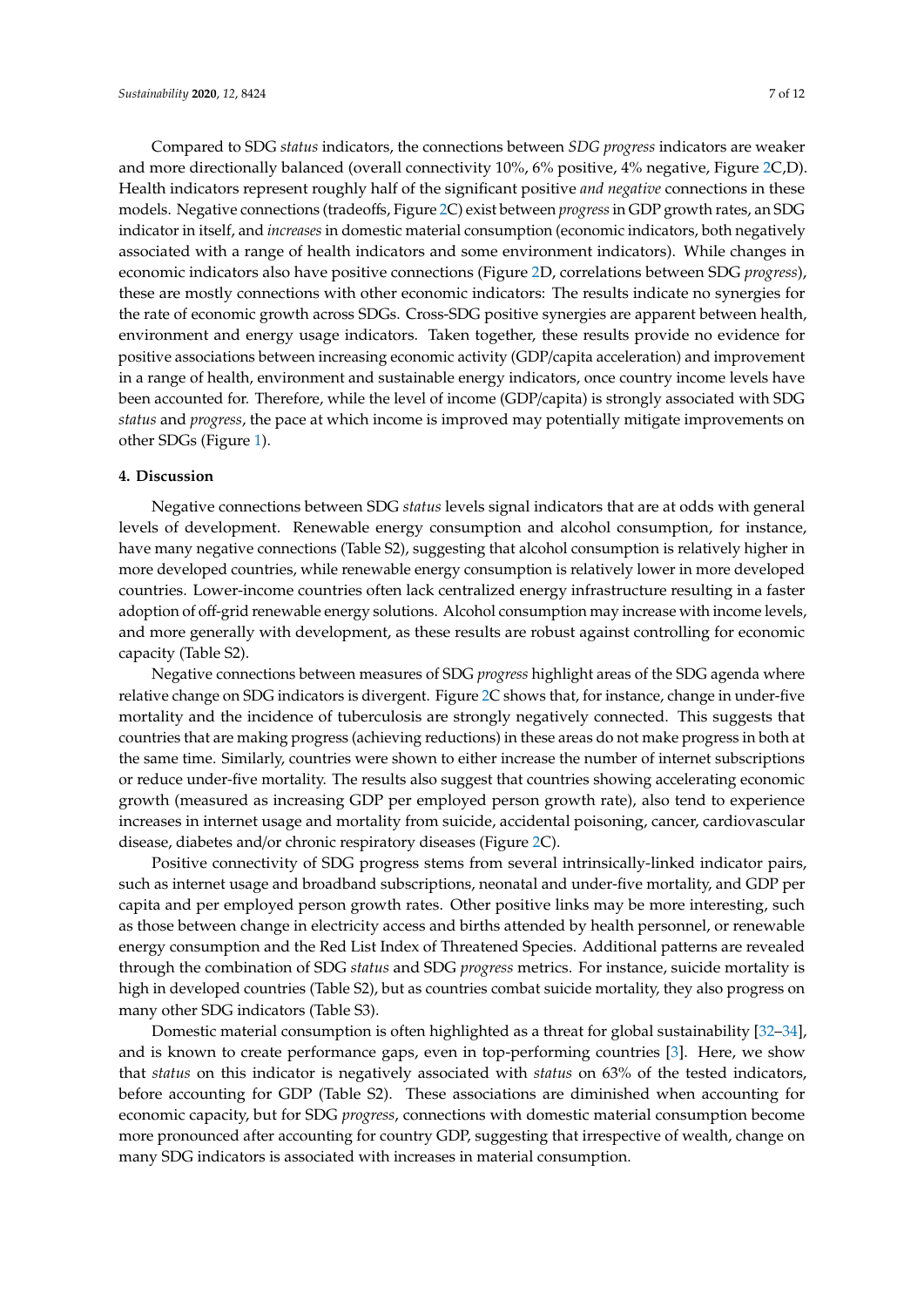Compared to SDG *status* indicators, the connections between *SDG progress* indicators are weaker and more directionally balanced (overall connectivity 10%, 6% positive, 4% negative, Figure [2C](#page-5-0),D). Health indicators represent roughly half of the significant positive *and negative* connections in these models. Negative connections (tradeoffs, Figure [2C](#page-5-0)) exist between *progress*in GDP growth rates, an SDG indicator in itself, and *increases* in domestic material consumption (economic indicators, both negatively associated with a range of health indicators and some environment indicators). While changes in economic indicators also have positive connections (Figure [2D](#page-5-0), correlations between SDG *progress*), these are mostly connections with other economic indicators: The results indicate no synergies for the rate of economic growth across SDGs. Cross-SDG positive synergies are apparent between health, environment and energy usage indicators. Taken together, these results provide no evidence for positive associations between increasing economic activity (GDP/capita acceleration) and improvement in a range of health, environment and sustainable energy indicators, once country income levels have been accounted for. Therefore, while the level of income (GDP/capita) is strongly associated with SDG *status* and *progress*, the pace at which income is improved may potentially mitigate improvements on other SDGs (Figure [1\)](#page-4-0).

#### **4. Discussion**

Negative connections between SDG *status* levels signal indicators that are at odds with general levels of development. Renewable energy consumption and alcohol consumption, for instance, have many negative connections (Table S2), suggesting that alcohol consumption is relatively higher in more developed countries, while renewable energy consumption is relatively lower in more developed countries. Lower-income countries often lack centralized energy infrastructure resulting in a faster adoption of off-grid renewable energy solutions. Alcohol consumption may increase with income levels, and more generally with development, as these results are robust against controlling for economic capacity (Table S2).

Negative connections between measures of SDG *progress* highlight areas of the SDG agenda where relative change on SDG indicators is divergent. Figure [2C](#page-5-0) shows that, for instance, change in under-five mortality and the incidence of tuberculosis are strongly negatively connected. This suggests that countries that are making progress (achieving reductions) in these areas do not make progress in both at the same time. Similarly, countries were shown to either increase the number of internet subscriptions or reduce under-five mortality. The results also suggest that countries showing accelerating economic growth (measured as increasing GDP per employed person growth rate), also tend to experience increases in internet usage and mortality from suicide, accidental poisoning, cancer, cardiovascular disease, diabetes and/or chronic respiratory diseases (Figure [2C](#page-5-0)).

Positive connectivity of SDG progress stems from several intrinsically-linked indicator pairs, such as internet usage and broadband subscriptions, neonatal and under-five mortality, and GDP per capita and per employed person growth rates. Other positive links may be more interesting, such as those between change in electricity access and births attended by health personnel, or renewable energy consumption and the Red List Index of Threatened Species. Additional patterns are revealed through the combination of SDG *status* and SDG *progress* metrics. For instance, suicide mortality is high in developed countries (Table S2), but as countries combat suicide mortality, they also progress on many other SDG indicators (Table S3).

Domestic material consumption is often highlighted as a threat for global sustainability [\[32](#page-10-8)[–34\]](#page-10-9), and is known to create performance gaps, even in top-performing countries [\[3\]](#page-9-2). Here, we show that *status* on this indicator is negatively associated with *status* on 63% of the tested indicators, before accounting for GDP (Table S2). These associations are diminished when accounting for economic capacity, but for SDG *progress*, connections with domestic material consumption become more pronounced after accounting for country GDP, suggesting that irrespective of wealth, change on many SDG indicators is associated with increases in material consumption.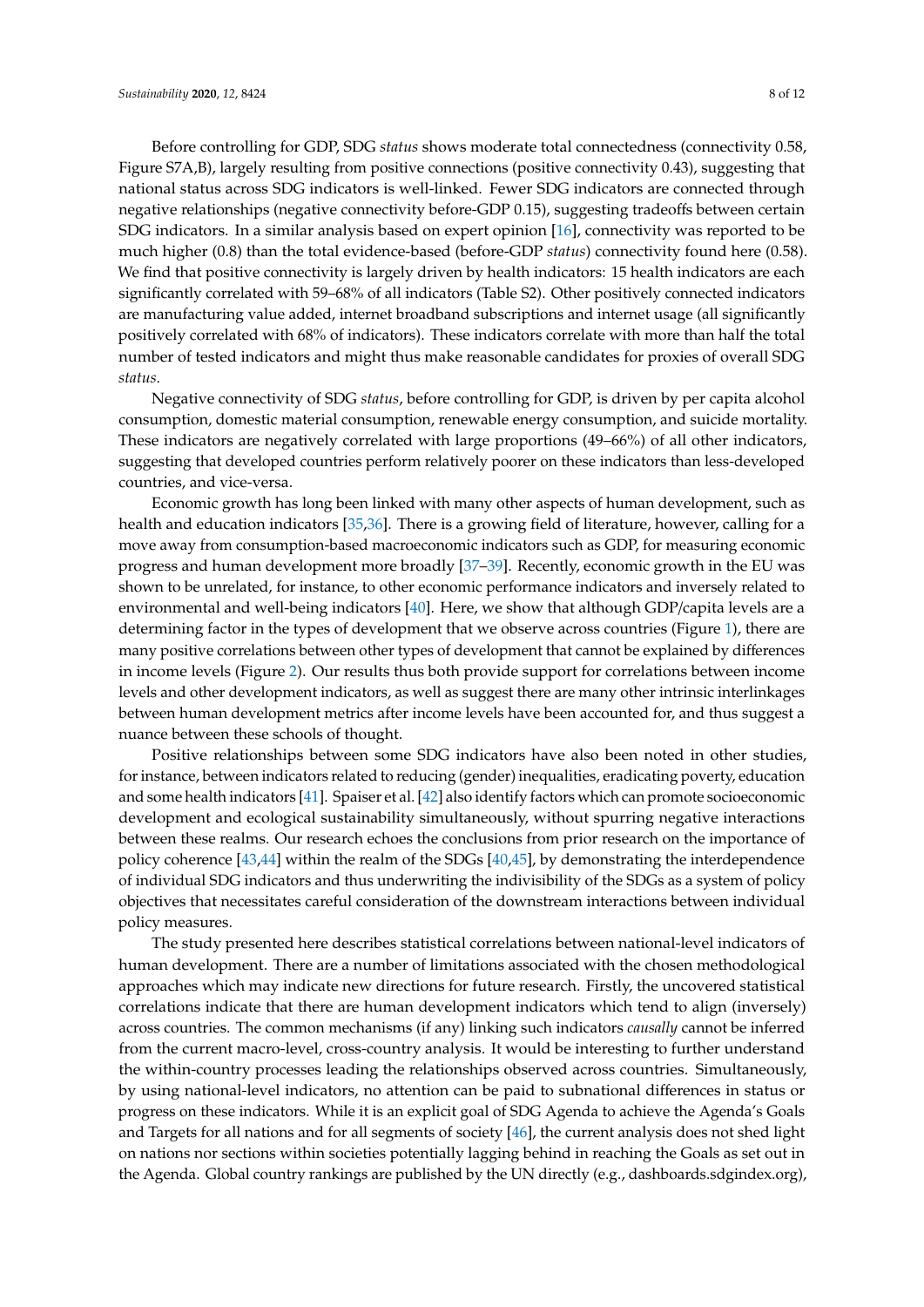Before controlling for GDP, SDG *status* shows moderate total connectedness (connectivity 0.58, Figure S7A,B), largely resulting from positive connections (positive connectivity 0.43), suggesting that national status across SDG indicators is well-linked. Fewer SDG indicators are connected through negative relationships (negative connectivity before-GDP 0.15), suggesting tradeoffs between certain SDG indicators. In a similar analysis based on expert opinion [\[16\]](#page-9-19), connectivity was reported to be much higher (0.8) than the total evidence-based (before-GDP *status*) connectivity found here (0.58). We find that positive connectivity is largely driven by health indicators: 15 health indicators are each significantly correlated with 59–68% of all indicators (Table S2). Other positively connected indicators are manufacturing value added, internet broadband subscriptions and internet usage (all significantly positively correlated with 68% of indicators). These indicators correlate with more than half the total number of tested indicators and might thus make reasonable candidates for proxies of overall SDG *status*.

Negative connectivity of SDG *status*, before controlling for GDP, is driven by per capita alcohol consumption, domestic material consumption, renewable energy consumption, and suicide mortality. These indicators are negatively correlated with large proportions (49–66%) of all other indicators, suggesting that developed countries perform relatively poorer on these indicators than less-developed countries, and vice-versa.

Economic growth has long been linked with many other aspects of human development, such as health and education indicators [\[35,](#page-10-10)[36\]](#page-10-11). There is a growing field of literature, however, calling for a move away from consumption-based macroeconomic indicators such as GDP, for measuring economic progress and human development more broadly [\[37](#page-10-12)[–39\]](#page-10-13). Recently, economic growth in the EU was shown to be unrelated, for instance, to other economic performance indicators and inversely related to environmental and well-being indicators [\[40\]](#page-10-14). Here, we show that although GDP/capita levels are a determining factor in the types of development that we observe across countries (Figure [1\)](#page-4-0), there are many positive correlations between other types of development that cannot be explained by differences in income levels (Figure [2\)](#page-5-0). Our results thus both provide support for correlations between income levels and other development indicators, as well as suggest there are many other intrinsic interlinkages between human development metrics after income levels have been accounted for, and thus suggest a nuance between these schools of thought.

Positive relationships between some SDG indicators have also been noted in other studies, for instance, between indicators related to reducing (gender) inequalities, eradicating poverty, education and some health indicators [\[41\]](#page-10-15). Spaiser et al. [\[42\]](#page-10-16) also identify factors which can promote socioeconomic development and ecological sustainability simultaneously, without spurring negative interactions between these realms. Our research echoes the conclusions from prior research on the importance of policy coherence [\[43,](#page-10-17)[44\]](#page-10-18) within the realm of the SDGs [\[40](#page-10-14)[,45\]](#page-11-0), by demonstrating the interdependence of individual SDG indicators and thus underwriting the indivisibility of the SDGs as a system of policy objectives that necessitates careful consideration of the downstream interactions between individual policy measures.

The study presented here describes statistical correlations between national-level indicators of human development. There are a number of limitations associated with the chosen methodological approaches which may indicate new directions for future research. Firstly, the uncovered statistical correlations indicate that there are human development indicators which tend to align (inversely) across countries. The common mechanisms (if any) linking such indicators *causally* cannot be inferred from the current macro-level, cross-country analysis. It would be interesting to further understand the within-country processes leading the relationships observed across countries. Simultaneously, by using national-level indicators, no attention can be paid to subnational differences in status or progress on these indicators. While it is an explicit goal of SDG Agenda to achieve the Agenda's Goals and Targets for all nations and for all segments of society [\[46\]](#page-11-1), the current analysis does not shed light on nations nor sections within societies potentially lagging behind in reaching the Goals as set out in the Agenda. Global country rankings are published by the UN directly (e.g., dashboards.sdgindex.org),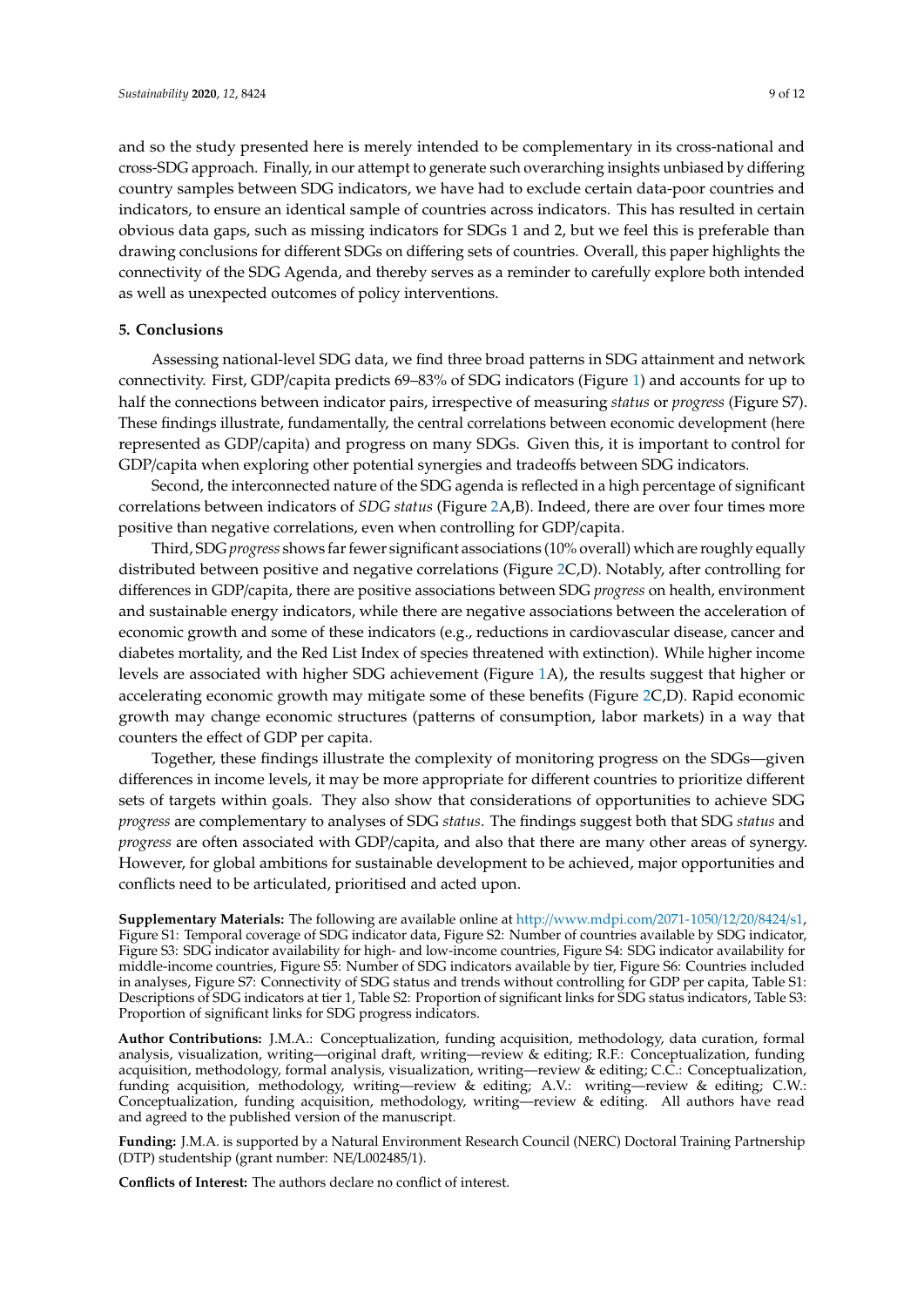and so the study presented here is merely intended to be complementary in its cross-national and cross-SDG approach. Finally, in our attempt to generate such overarching insights unbiased by differing country samples between SDG indicators, we have had to exclude certain data-poor countries and indicators, to ensure an identical sample of countries across indicators. This has resulted in certain obvious data gaps, such as missing indicators for SDGs 1 and 2, but we feel this is preferable than drawing conclusions for different SDGs on differing sets of countries. Overall, this paper highlights the connectivity of the SDG Agenda, and thereby serves as a reminder to carefully explore both intended as well as unexpected outcomes of policy interventions.

## **5. Conclusions**

Assessing national-level SDG data, we find three broad patterns in SDG attainment and network connectivity. First, GDP/capita predicts 69–83% of SDG indicators (Figure [1\)](#page-4-0) and accounts for up to half the connections between indicator pairs, irrespective of measuring *status* or *progress* (Figure S7). These findings illustrate, fundamentally, the central correlations between economic development (here represented as GDP/capita) and progress on many SDGs. Given this, it is important to control for GDP/capita when exploring other potential synergies and tradeoffs between SDG indicators.

Second, the interconnected nature of the SDG agenda is reflected in a high percentage of significant correlations between indicators of *SDG status* (Figure [2A](#page-5-0),B). Indeed, there are over four times more positive than negative correlations, even when controlling for GDP/capita.

Third, SDG *progress* shows far fewer significant associations (10% overall) which are roughly equally distributed between positive and negative correlations (Figure [2C](#page-5-0),D). Notably, after controlling for differences in GDP/capita, there are positive associations between SDG *progress* on health, environment and sustainable energy indicators, while there are negative associations between the acceleration of economic growth and some of these indicators (e.g., reductions in cardiovascular disease, cancer and diabetes mortality, and the Red List Index of species threatened with extinction). While higher income levels are associated with higher SDG achievement (Figure [1A](#page-4-0)), the results suggest that higher or accelerating economic growth may mitigate some of these benefits (Figure [2C](#page-5-0),D). Rapid economic growth may change economic structures (patterns of consumption, labor markets) in a way that counters the effect of GDP per capita.

Together, these findings illustrate the complexity of monitoring progress on the SDGs—given differences in income levels, it may be more appropriate for different countries to prioritize different sets of targets within goals. They also show that considerations of opportunities to achieve SDG *progress* are complementary to analyses of SDG *status*. The findings suggest both that SDG *status* and *progress* are often associated with GDP/capita, and also that there are many other areas of synergy. However, for global ambitions for sustainable development to be achieved, major opportunities and conflicts need to be articulated, prioritised and acted upon.

**Supplementary Materials:** The following are available online at http://[www.mdpi.com](http://www.mdpi.com/2071-1050/12/20/8424/s1)/2071-1050/12/20/8424/s1, Figure S1: Temporal coverage of SDG indicator data, Figure S2: Number of countries available by SDG indicator, Figure S3: SDG indicator availability for high- and low-income countries, Figure S4: SDG indicator availability for middle-income countries, Figure S5: Number of SDG indicators available by tier, Figure S6: Countries included in analyses, Figure S7: Connectivity of SDG status and trends without controlling for GDP per capita, Table S1: Descriptions of SDG indicators at tier 1, Table S2: Proportion of significant links for SDG status indicators, Table S3: Proportion of significant links for SDG progress indicators.

**Author Contributions:** J.M.A.: Conceptualization, funding acquisition, methodology, data curation, formal analysis, visualization, writing—original draft, writing—review & editing; R.F.: Conceptualization, funding acquisition, methodology, formal analysis, visualization, writing—review & editing; C.C.: Conceptualization, funding acquisition, methodology, writing—review & editing; A.V.: writing—review & editing; C.W.: Conceptualization, funding acquisition, methodology, writing—review & editing. All authors have read and agreed to the published version of the manuscript.

**Funding:** J.M.A. is supported by a Natural Environment Research Council (NERC) Doctoral Training Partnership (DTP) studentship (grant number: NE/L002485/1).

**Conflicts of Interest:** The authors declare no conflict of interest.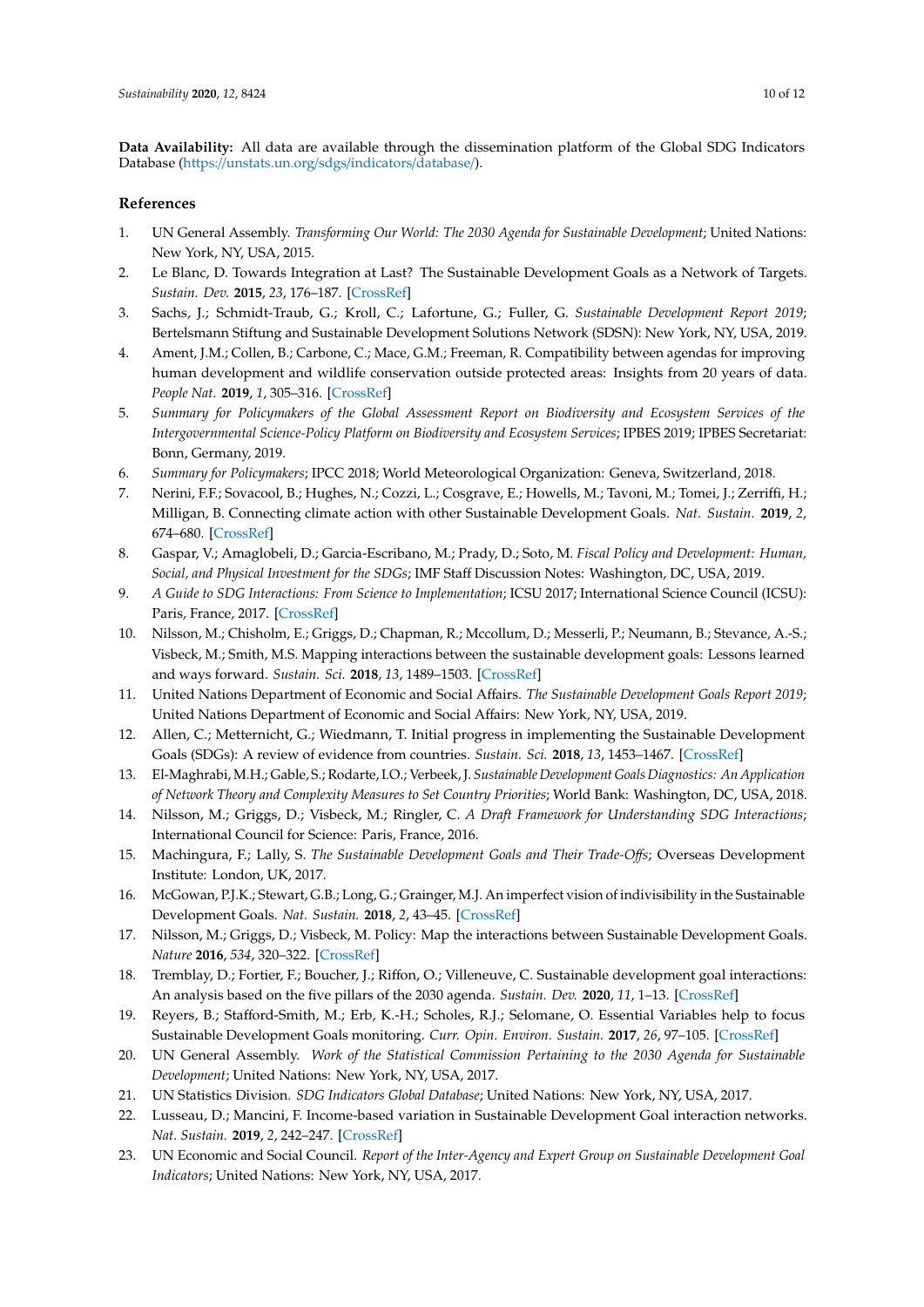**Data Availability:** All data are available through the dissemination platform of the Global SDG Indicators Database (https://[unstats.un.org](https://unstats.un.org/sdgs/indicators/database/)/sdgs/indicators/database/).

## **References**

- <span id="page-9-0"></span>1. UN General Assembly. *Transforming Our World: The 2030 Agenda for Sustainable Development*; United Nations: New York, NY, USA, 2015.
- <span id="page-9-1"></span>2. Le Blanc, D. Towards Integration at Last? The Sustainable Development Goals as a Network of Targets. *Sustain. Dev.* **2015**, *23*, 176–187. [\[CrossRef\]](http://dx.doi.org/10.1002/sd.1582)
- <span id="page-9-2"></span>3. Sachs, J.; Schmidt-Traub, G.; Kroll, C.; Lafortune, G.; Fuller, G. *Sustainable Development Report 2019*; Bertelsmann Stiftung and Sustainable Development Solutions Network (SDSN): New York, NY, USA, 2019.
- <span id="page-9-3"></span>4. Ament, J.M.; Collen, B.; Carbone, C.; Mace, G.M.; Freeman, R. Compatibility between agendas for improving human development and wildlife conservation outside protected areas: Insights from 20 years of data. *People Nat.* **2019**, *1*, 305–316. [\[CrossRef\]](http://dx.doi.org/10.1002/pan3.10041)
- <span id="page-9-4"></span>5. *Summary for Policymakers of the Global Assessment Report on Biodiversity and Ecosystem Services of the Intergovernmental Science-Policy Platform on Biodiversity and Ecosystem Services*; IPBES 2019; IPBES Secretariat: Bonn, Germany, 2019.
- <span id="page-9-5"></span>6. *Summary for Policymakers*; IPCC 2018; World Meteorological Organization: Geneva, Switzerland, 2018.
- <span id="page-9-6"></span>7. Nerini, F.F.; Sovacool, B.; Hughes, N.; Cozzi, L.; Cosgrave, E.; Howells, M.; Tavoni, M.; Tomei, J.; Zerriffi, H.; Milligan, B. Connecting climate action with other Sustainable Development Goals. *Nat. Sustain.* **2019**, *2*, 674–680. [\[CrossRef\]](http://dx.doi.org/10.1038/s41893-019-0334-y)
- <span id="page-9-7"></span>8. Gaspar, V.; Amaglobeli, D.; Garcia-Escribano, M.; Prady, D.; Soto, M. *Fiscal Policy and Development: Human, Social, and Physical Investment for the SDGs*; IMF Staff Discussion Notes: Washington, DC, USA, 2019.
- <span id="page-9-8"></span>9. *A Guide to SDG Interactions: From Science to Implementation*; ICSU 2017; International Science Council (ICSU): Paris, France, 2017. [\[CrossRef\]](http://dx.doi.org/10.24948/2017.01)
- 10. Nilsson, M.; Chisholm, E.; Griggs, D.; Chapman, R.; Mccollum, D.; Messerli, P.; Neumann, B.; Stevance, A.-S.; Visbeck, M.; Smith, M.S. Mapping interactions between the sustainable development goals: Lessons learned and ways forward. *Sustain. Sci.* **2018**, *13*, 1489–1503. [\[CrossRef\]](http://dx.doi.org/10.1007/s11625-018-0604-z)
- <span id="page-9-9"></span>11. United Nations Department of Economic and Social Affairs. *The Sustainable Development Goals Report 2019*; United Nations Department of Economic and Social Affairs: New York, NY, USA, 2019.
- <span id="page-9-10"></span>12. Allen, C.; Metternicht, G.; Wiedmann, T. Initial progress in implementing the Sustainable Development Goals (SDGs): A review of evidence from countries. *Sustain. Sci.* **2018**, *13*, 1453–1467. [\[CrossRef\]](http://dx.doi.org/10.1007/s11625-018-0572-3)
- <span id="page-9-11"></span>13. El-Maghrabi,M.H.; Gable, S.; Rodarte, I.O.; Verbeek, J. *Sustainable Development Goals Diagnostics: An Application of Network Theory and Complexity Measures to Set Country Priorities*; World Bank: Washington, DC, USA, 2018.
- <span id="page-9-12"></span>14. Nilsson, M.; Griggs, D.; Visbeck, M.; Ringler, C. *A Draft Framework for Understanding SDG Interactions*; International Council for Science: Paris, France, 2016.
- 15. Machingura, F.; Lally, S. *The Sustainable Development Goals and Their Trade-O*ff*s*; Overseas Development Institute: London, UK, 2017.
- <span id="page-9-19"></span>16. McGowan, P.J.K.; Stewart, G.B.; Long, G.; Grainger, M.J. An imperfect vision of indivisibility in the Sustainable Development Goals. *Nat. Sustain.* **2018**, *2*, 43–45. [\[CrossRef\]](http://dx.doi.org/10.1038/s41893-018-0190-1)
- 17. Nilsson, M.; Griggs, D.; Visbeck, M. Policy: Map the interactions between Sustainable Development Goals. *Nature* **2016**, *534*, 320–322. [\[CrossRef\]](http://dx.doi.org/10.1038/534320a)
- <span id="page-9-13"></span>18. Tremblay, D.; Fortier, F.; Boucher, J.; Riffon, O.; Villeneuve, C. Sustainable development goal interactions: An analysis based on the five pillars of the 2030 agenda. *Sustain. Dev.* **2020**, *11*, 1–13. [\[CrossRef\]](http://dx.doi.org/10.1002/sd.2107)
- <span id="page-9-14"></span>19. Reyers, B.; Stafford-Smith, M.; Erb, K.-H.; Scholes, R.J.; Selomane, O. Essential Variables help to focus Sustainable Development Goals monitoring. *Curr. Opin. Environ. Sustain.* **2017**, *26*, 97–105. [\[CrossRef\]](http://dx.doi.org/10.1016/j.cosust.2017.05.003)
- <span id="page-9-15"></span>20. UN General Assembly. *Work of the Statistical Commission Pertaining to the 2030 Agenda for Sustainable Development*; United Nations: New York, NY, USA, 2017.
- <span id="page-9-16"></span>21. UN Statistics Division. *SDG Indicators Global Database*; United Nations: New York, NY, USA, 2017.
- <span id="page-9-17"></span>22. Lusseau, D.; Mancini, F. Income-based variation in Sustainable Development Goal interaction networks. *Nat. Sustain.* **2019**, *2*, 242–247. [\[CrossRef\]](http://dx.doi.org/10.1038/s41893-019-0231-4)
- <span id="page-9-18"></span>23. UN Economic and Social Council. *Report of the Inter-Agency and Expert Group on Sustainable Development Goal Indicators*; United Nations: New York, NY, USA, 2017.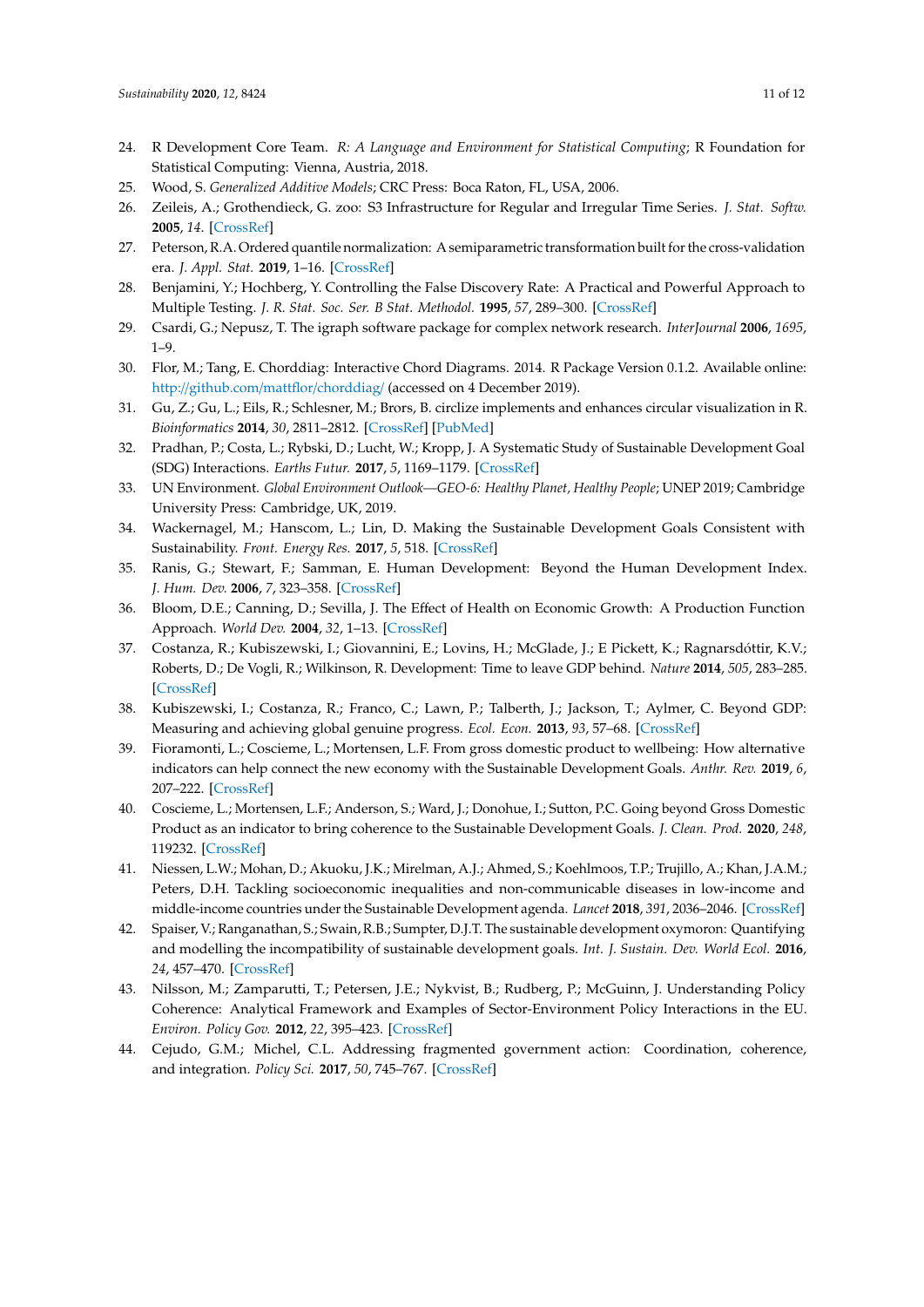- <span id="page-10-0"></span>24. R Development Core Team. *R: A Language and Environment for Statistical Computing*; R Foundation for Statistical Computing: Vienna, Austria, 2018.
- <span id="page-10-1"></span>25. Wood, S. *Generalized Additive Models*; CRC Press: Boca Raton, FL, USA, 2006.
- <span id="page-10-2"></span>26. Zeileis, A.; Grothendieck, G. zoo: S3 Infrastructure for Regular and Irregular Time Series. *J. Stat. Softw.* **2005**, *14*. [\[CrossRef\]](http://dx.doi.org/10.18637/jss.v014.i06)
- <span id="page-10-3"></span>27. Peterson, R.A. Ordered quantile normalization: A semiparametric transformation built for the cross-validation era. *J. Appl. Stat.* **2019**, 1–16. [\[CrossRef\]](http://dx.doi.org/10.1080/02664763.2019.1630372)
- <span id="page-10-4"></span>28. Benjamini, Y.; Hochberg, Y. Controlling the False Discovery Rate: A Practical and Powerful Approach to Multiple Testing. *J. R. Stat. Soc. Ser. B Stat. Methodol.* **1995**, *57*, 289–300. [\[CrossRef\]](http://dx.doi.org/10.1111/j.2517-6161.1995.tb02031.x)
- <span id="page-10-5"></span>29. Csardi, G.; Nepusz, T. The igraph software package for complex network research. *InterJournal* **2006**, *1695*, 1–9.
- <span id="page-10-6"></span>30. Flor, M.; Tang, E. Chorddiag: Interactive Chord Diagrams. 2014. R Package Version 0.1.2. Available online: http://[github.com](http://github.com/mattflor/chorddiag/)/mattflor/chorddiag/ (accessed on 4 December 2019).
- <span id="page-10-7"></span>31. Gu, Z.; Gu, L.; Eils, R.; Schlesner, M.; Brors, B. circlize implements and enhances circular visualization in R. *Bioinformatics* **2014**, *30*, 2811–2812. [\[CrossRef\]](http://dx.doi.org/10.1093/bioinformatics/btu393) [\[PubMed\]](http://www.ncbi.nlm.nih.gov/pubmed/24930139)
- <span id="page-10-8"></span>32. Pradhan, P.; Costa, L.; Rybski, D.; Lucht, W.; Kropp, J. A Systematic Study of Sustainable Development Goal (SDG) Interactions. *Earths Futur.* **2017**, *5*, 1169–1179. [\[CrossRef\]](http://dx.doi.org/10.1002/2017ef000632)
- 33. UN Environment. *Global Environment Outlook—GEO-6: Healthy Planet, Healthy People; UNEP 2019; Cambridge* University Press: Cambridge, UK, 2019.
- <span id="page-10-9"></span>34. Wackernagel, M.; Hanscom, L.; Lin, D. Making the Sustainable Development Goals Consistent with Sustainability. *Front. Energy Res.* **2017**, *5*, 518. [\[CrossRef\]](http://dx.doi.org/10.3389/fenrg.2017.00018)
- <span id="page-10-10"></span>35. Ranis, G.; Stewart, F.; Samman, E. Human Development: Beyond the Human Development Index. *J. Hum. Dev.* **2006**, *7*, 323–358. [\[CrossRef\]](http://dx.doi.org/10.1080/14649880600815917)
- <span id="page-10-11"></span>36. Bloom, D.E.; Canning, D.; Sevilla, J. The Effect of Health on Economic Growth: A Production Function Approach. *World Dev.* **2004**, *32*, 1–13. [\[CrossRef\]](http://dx.doi.org/10.1016/j.worlddev.2003.07.002)
- <span id="page-10-12"></span>37. Costanza, R.; Kubiszewski, I.; Giovannini, E.; Lovins, H.; McGlade, J.; E Pickett, K.; Ragnarsdóttir, K.V.; Roberts, D.; De Vogli, R.; Wilkinson, R. Development: Time to leave GDP behind. *Nature* **2014**, *505*, 283–285. [\[CrossRef\]](http://dx.doi.org/10.1038/505283a)
- 38. Kubiszewski, I.; Costanza, R.; Franco, C.; Lawn, P.; Talberth, J.; Jackson, T.; Aylmer, C. Beyond GDP: Measuring and achieving global genuine progress. *Ecol. Econ.* **2013**, *93*, 57–68. [\[CrossRef\]](http://dx.doi.org/10.1016/j.ecolecon.2013.04.019)
- <span id="page-10-13"></span>39. Fioramonti, L.; Coscieme, L.; Mortensen, L.F. From gross domestic product to wellbeing: How alternative indicators can help connect the new economy with the Sustainable Development Goals. *Anthr. Rev.* **2019**, *6*, 207–222. [\[CrossRef\]](http://dx.doi.org/10.1177/2053019619869947)
- <span id="page-10-14"></span>40. Coscieme, L.; Mortensen, L.F.; Anderson, S.; Ward, J.; Donohue, I.; Sutton, P.C. Going beyond Gross Domestic Product as an indicator to bring coherence to the Sustainable Development Goals. *J. Clean. Prod.* **2020**, *248*, 119232. [\[CrossRef\]](http://dx.doi.org/10.1016/j.jclepro.2019.119232)
- <span id="page-10-15"></span>41. Niessen, L.W.; Mohan, D.; Akuoku, J.K.; Mirelman, A.J.; Ahmed, S.; Koehlmoos, T.P.; Trujillo, A.; Khan, J.A.M.; Peters, D.H. Tackling socioeconomic inequalities and non-communicable diseases in low-income and middle-income countries under the Sustainable Development agenda. *Lancet* **2018**, *391*, 2036–2046. [\[CrossRef\]](http://dx.doi.org/10.1016/S0140-6736(18)30482-3)
- <span id="page-10-16"></span>42. Spaiser, V.; Ranganathan, S.; Swain, R.B.; Sumpter, D.J.T. The sustainable development oxymoron: Quantifying and modelling the incompatibility of sustainable development goals. *Int. J. Sustain. Dev. World Ecol.* **2016**, *24*, 457–470. [\[CrossRef\]](http://dx.doi.org/10.1080/13504509.2016.1235624)
- <span id="page-10-17"></span>43. Nilsson, M.; Zamparutti, T.; Petersen, J.E.; Nykvist, B.; Rudberg, P.; McGuinn, J. Understanding Policy Coherence: Analytical Framework and Examples of Sector-Environment Policy Interactions in the EU. *Environ. Policy Gov.* **2012**, *22*, 395–423. [\[CrossRef\]](http://dx.doi.org/10.1002/eet.1589)
- <span id="page-10-18"></span>44. Cejudo, G.M.; Michel, C.L. Addressing fragmented government action: Coordination, coherence, and integration. *Policy Sci.* **2017**, *50*, 745–767. [\[CrossRef\]](http://dx.doi.org/10.1007/s11077-017-9281-5)